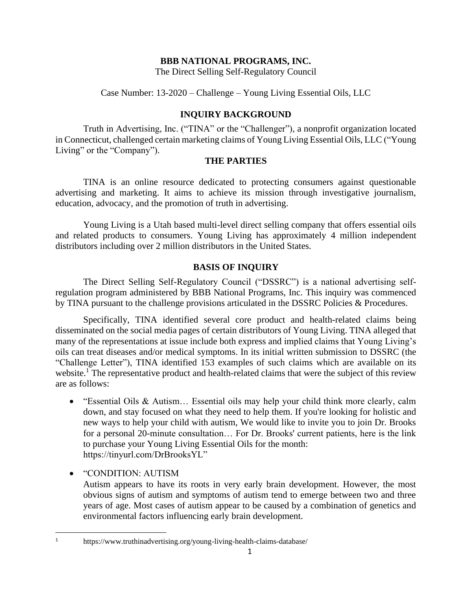# **BBB NATIONAL PROGRAMS, INC.**

The Direct Selling Self-Regulatory Council

Case Number: 13-2020 – Challenge – Young Living Essential Oils, LLC

# **INQUIRY BACKGROUND**

Truth in Advertising, Inc. ("TINA" or the "Challenger"), a nonprofit organization located in Connecticut, challenged certain marketing claims of Young Living Essential Oils, LLC ("Young Living" or the "Company").

# **THE PARTIES**

TINA is an online resource dedicated to protecting consumers against questionable advertising and marketing. It aims to achieve its mission through investigative journalism, education, advocacy, and the promotion of truth in advertising.

Young Living is a Utah based multi-level direct selling company that offers essential oils and related products to consumers. Young Living has approximately 4 million independent distributors including over 2 million distributors in the United States.

# **BASIS OF INQUIRY**

The Direct Selling Self-Regulatory Council ("DSSRC") is a national advertising selfregulation program administered by BBB National Programs, Inc. This inquiry was commenced by TINA pursuant to the challenge provisions articulated in the DSSRC Policies & Procedures.

Specifically, TINA identified several core product and health-related claims being disseminated on the social media pages of certain distributors of Young Living. TINA alleged that many of the representations at issue include both express and implied claims that Young Living's oils can treat diseases and/or medical symptoms. In its initial written submission to DSSRC (the "Challenge Letter"), TINA identified 153 examples of such claims which are available on its website.<sup>1</sup> The representative product and health-related claims that were the subject of this review are as follows:

- "Essential Oils & Autism… Essential oils may help your child think more clearly, calm down, and stay focused on what they need to help them. If you're looking for holistic and new ways to help your child with autism, We would like to invite you to join Dr. Brooks for a personal 20-minute consultation… For Dr. Brooks' current patients, here is the link to purchase your Young Living Essential Oils for the month: https://tinyurl.com/DrBrooksYL"
- "CONDITION: AUTISM

Autism appears to have its roots in very early brain development. However, the most obvious signs of autism and symptoms of autism tend to emerge between two and three years of age. Most cases of autism appear to be caused by a combination of genetics and environmental factors influencing early brain development.

<sup>1</sup> <https://www.truthinadvertising.org/young-living-health-claims-database/>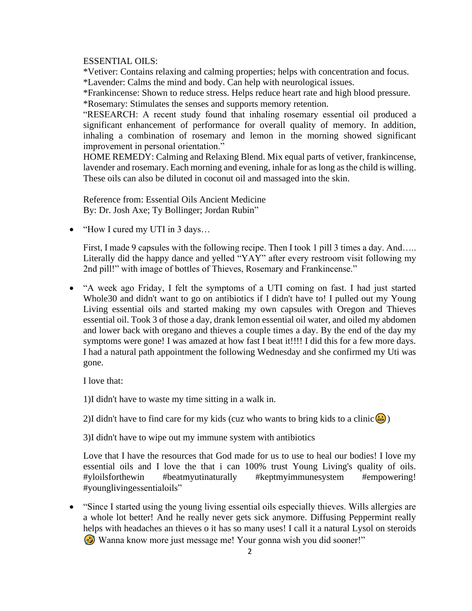ESSENTIAL OILS:

\*Vetiver: Contains relaxing and calming properties; helps with concentration and focus. \*Lavender: Calms the mind and body. Can help with neurological issues.

\*Frankincense: Shown to reduce stress. Helps reduce heart rate and high blood pressure. \*Rosemary: Stimulates the senses and supports memory retention.

"RESEARCH: A recent study found that inhaling rosemary essential oil produced a significant enhancement of performance for overall quality of memory. In addition, inhaling a combination of rosemary and lemon in the morning showed significant improvement in personal orientation."

HOME REMEDY: Calming and Relaxing Blend. Mix equal parts of vetiver, frankincense, lavender and rosemary. Each morning and evening, inhale for as long as the child is willing. These oils can also be diluted in coconut oil and massaged into the skin.

Reference from: Essential Oils Ancient Medicine By: Dr. Josh Axe; Ty Bollinger; Jordan Rubin"

• "How I cured my UTI in 3 days...

First, I made 9 capsules with the following recipe. Then I took 1 pill 3 times a day. And….. Literally did the happy dance and yelled "YAY" after every restroom visit following my 2nd pill!" with image of bottles of Thieves, Rosemary and Frankincense."

• "A week ago Friday, I felt the symptoms of a UTI coming on fast. I had just started Whole30 and didn't want to go on antibiotics if I didn't have to! I pulled out my Young Living essential oils and started making my own capsules with Oregon and Thieves essential oil. Took 3 of those a day, drank lemon essential oil water, and oiled my abdomen and lower back with oregano and thieves a couple times a day. By the end of the day my symptoms were gone! I was amazed at how fast I beat it!!!! I did this for a few more days. I had a natural path appointment the following Wednesday and she confirmed my Uti was gone.

I love that:

1)I didn't have to waste my time sitting in a walk in.

2)I didn't have to find care for my kids (cuz who wants to bring kids to a clinic  $\left(\frac{1}{2}\right)$ )

3)I didn't have to wipe out my immune system with antibiotics

Love that I have the resources that God made for us to use to heal our bodies! I love my essential oils and I love the that i can 100% trust Young Living's quality of oils. #yloilsforthewin #beatmyutinaturally #keptmyimmunesystem #empowering! #younglivingessentialoils"

• "Since I started using the young living essential oils especially thieves. Wills allergies are a whole lot better! And he really never gets sick anymore. Diffusing Peppermint really helps with headaches an thieves o it has so many uses! I call it a natural Lysol on steroids Wanna know more just message me! Your gonna wish you did sooner!"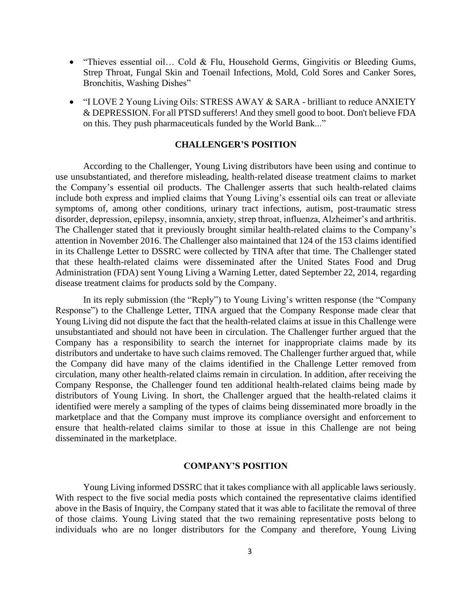- "Thieves essential oil... Cold & Flu, Household Germs, Gingivitis or Bleeding Gums, Strep Throat, Fungal Skin and Toenail Infections, Mold, Cold Sores and Canker Sores, Bronchitis, Washing Dishes"
- "I LOVE 2 Young Living Oils: STRESS AWAY & SARA brilliant to reduce ANXIETY & DEPRESSION. For all PTSD sufferers! And they smell good to boot. Don't believe FDA on this. They push pharmaceuticals funded by the World Bank..."

### **CHALLENGER'S POSITION**

According to the Challenger, Young Living distributors have been using and continue to use unsubstantiated, and therefore misleading, health-related disease treatment claims to market the Company's essential oil products. The Challenger asserts that such health-related claims include both express and implied claims that Young Living's essential oils can treat or alleviate symptoms of, among other conditions, urinary tract infections, autism, post-traumatic stress disorder, depression, epilepsy, insomnia, anxiety, strep throat, influenza, Alzheimer's and arthritis. The Challenger stated that it previously brought similar health-related claims to the Company's attention in November 2016. The Challenger also maintained that 124 of the 153 claims identified in its Challenge Letter to DSSRC were collected by TINA after that time. The Challenger stated that these health-related claims were disseminated after the United States Food and Drug Administration (FDA) sent Young Living a Warning Letter, dated September 22, 2014, regarding disease treatment claims for products sold by the Company.

In its reply submission (the "Reply") to Young Living's written response (the "Company Response") to the Challenge Letter, TINA argued that the Company Response made clear that Young Living did not dispute the fact that the health-related claims at issue in this Challenge were unsubstantiated and should not have been in circulation. The Challenger further argued that the Company has a responsibility to search the internet for inappropriate claims made by its distributors and undertake to have such claims removed. The Challenger further argued that, while the Company did have many of the claims identified in the Challenge Letter removed from circulation, many other health-related claims remain in circulation. In addition, after receiving the Company Response, the Challenger found ten additional health-related claims being made by distributors of Young Living. In short, the Challenger argued that the health-related claims it identified were merely a sampling of the types of claims being disseminated more broadly in the marketplace and that the Company must improve its compliance oversight and enforcement to ensure that health-related claims similar to those at issue in this Challenge are not being disseminated in the marketplace.

#### **COMPANY'S POSITION**

Young Living informed DSSRC that it takes compliance with all applicable laws seriously. With respect to the five social media posts which contained the representative claims identified above in the Basis of Inquiry, the Company stated that it was able to facilitate the removal of three of those claims. Young Living stated that the two remaining representative posts belong to individuals who are no longer distributors for the Company and therefore, Young Living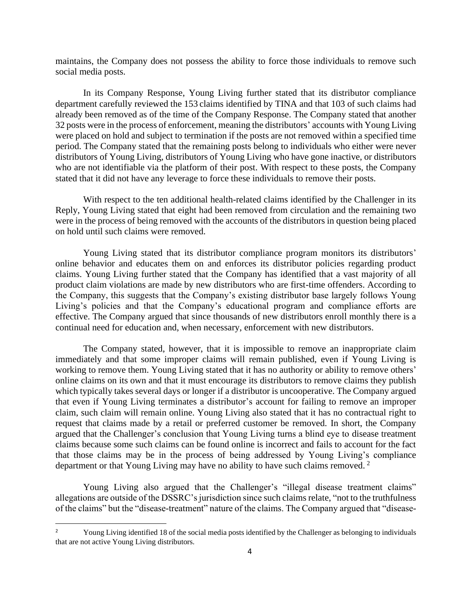maintains, the Company does not possess the ability to force those individuals to remove such social media posts.

In its Company Response, Young Living further stated that its distributor compliance department carefully reviewed the 153 claims identified by TINA and that 103 of such claims had already been removed as of the time of the Company Response. The Company stated that another 32 posts were in the process of enforcement, meaning the distributors' accounts with Young Living were placed on hold and subject to termination if the posts are not removed within a specified time period. The Company stated that the remaining posts belong to individuals who either were never distributors of Young Living, distributors of Young Living who have gone inactive, or distributors who are not identifiable via the platform of their post. With respect to these posts, the Company stated that it did not have any leverage to force these individuals to remove their posts.

With respect to the ten additional health-related claims identified by the Challenger in its Reply, Young Living stated that eight had been removed from circulation and the remaining two were in the process of being removed with the accounts of the distributors in question being placed on hold until such claims were removed.

Young Living stated that its distributor compliance program monitors its distributors' online behavior and educates them on and enforces its distributor policies regarding product claims. Young Living further stated that the Company has identified that a vast majority of all product claim violations are made by new distributors who are first-time offenders. According to the Company, this suggests that the Company's existing distributor base largely follows Young Living's policies and that the Company's educational program and compliance efforts are effective. The Company argued that since thousands of new distributors enroll monthly there is a continual need for education and, when necessary, enforcement with new distributors.

The Company stated, however, that it is impossible to remove an inappropriate claim immediately and that some improper claims will remain published, even if Young Living is working to remove them. Young Living stated that it has no authority or ability to remove others' online claims on its own and that it must encourage its distributors to remove claims they publish which typically takes several days or longer if a distributor is uncooperative. The Company argued that even if Young Living terminates a distributor's account for failing to remove an improper claim, such claim will remain online. Young Living also stated that it has no contractual right to request that claims made by a retail or preferred customer be removed. In short, the Company argued that the Challenger's conclusion that Young Living turns a blind eye to disease treatment claims because some such claims can be found online is incorrect and fails to account for the fact that those claims may be in the process of being addressed by Young Living's compliance department or that Young Living may have no ability to have such claims removed.<sup>2</sup>

Young Living also argued that the Challenger's "illegal disease treatment claims" allegations are outside of the DSSRC's jurisdiction since such claims relate, "not to the truthfulness" of the claims" but the "disease-treatment" nature of the claims. The Company argued that "disease-

<sup>&</sup>lt;sup>2</sup> Young Living identified 18 of the social media posts identified by the Challenger as belonging to individuals that are not active Young Living distributors.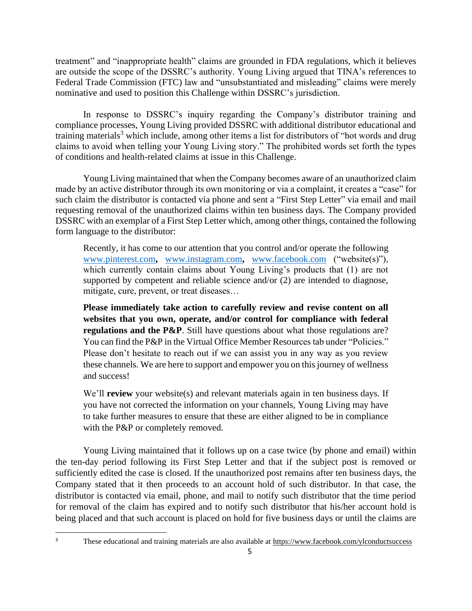treatment" and "inappropriate health" claims are grounded in FDA regulations, which it believes are outside the scope of the DSSRC's authority. Young Living argued that TINA's references to Federal Trade Commission (FTC) law and "unsubstantiated and misleading" claims were merely nominative and used to position this Challenge within DSSRC's jurisdiction.

In response to DSSRC's inquiry regarding the Company's distributor training and compliance processes, Young Living provided DSSRC with additional distributor educational and training materials<sup>3</sup> which include, among other items a list for distributors of "hot words and drug claims to avoid when telling your Young Living story." The prohibited words set forth the types of conditions and health-related claims at issue in this Challenge.

Young Living maintained that when the Company becomes aware of an unauthorized claim made by an active distributor through its own monitoring or via a complaint, it creates a "case" for such claim the distributor is contacted via phone and sent a "First Step Letter" via email and mail requesting removal of the unauthorized claims within ten business days. The Company provided DSSRC with an exemplar of a First Step Letter which, among other things, contained the following form language to the distributor:

Recently, it has come to our attention that you control and/or operate the following [www.pinterest.com](http://www.pinterest.com/)**,** [www.instagram.com](http://www.instagram.com/)**,** [www.facebook.com](http://www.facebook.com/) ("website(s)"), which currently contain claims about Young Living's products that (1) are not supported by competent and reliable science and/or (2) are intended to diagnose, mitigate, cure, prevent, or treat diseases…

**Please immediately take action to carefully review and revise content on all websites that you own, operate, and/or control for compliance with federal regulations and the P&P**. Still have questions about what those regulations are? You can find the P&P in the Virtual Office Member Resources tab under "Policies." Please don't hesitate to reach out if we can assist you in any way as you review these channels. We are here to support and empower you on this journey of wellness and success!

We'll **review** your website(s) and relevant materials again in ten business days. If you have not corrected the information on your channels, Young Living may have to take further measures to ensure that these are either aligned to be in compliance with the P&P or completely removed.

Young Living maintained that it follows up on a case twice (by phone and email) within the ten-day period following its First Step Letter and that if the subject post is removed or sufficiently edited the case is closed. If the unauthorized post remains after ten business days, the Company stated that it then proceeds to an account hold of such distributor. In that case, the distributor is contacted via email, phone, and mail to notify such distributor that the time period for removal of the claim has expired and to notify such distributor that his/her account hold is being placed and that such account is placed on hold for five business days or until the claims are

<sup>&</sup>lt;sup>3</sup> These educational and training materials are also available at [https://www.facebook.com/ylconductsuccess](https://nam04.safelinks.protection.outlook.com/?url=https%3A%2F%2Fwww.facebook.com%2Fylconductsuccess&data=02%7C01%7Cabrande%40youngliving.com%7C3ec31a85bdb14ae9adb308d767068112%7Ceddf315641f1440c8feedf4ebf0ce7e4%7C0%7C0%7C637091150768986719&sdata=HXAMCgqaiOPTO5ZDCmk7xP0aHpb5cO%2BYreCh1U6plCU%3D&reserved=0)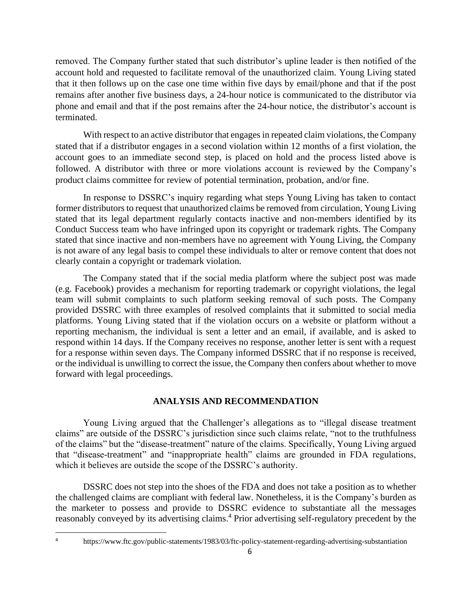removed. The Company further stated that such distributor's upline leader is then notified of the account hold and requested to facilitate removal of the unauthorized claim. Young Living stated that it then follows up on the case one time within five days by email/phone and that if the post remains after another five business days, a 24-hour notice is communicated to the distributor via phone and email and that if the post remains after the 24-hour notice, the distributor's account is terminated.

With respect to an active distributor that engages in repeated claim violations, the Company stated that if a distributor engages in a second violation within 12 months of a first violation, the account goes to an immediate second step, is placed on hold and the process listed above is followed. A distributor with three or more violations account is reviewed by the Company's product claims committee for review of potential termination, probation, and/or fine.

In response to DSSRC's inquiry regarding what steps Young Living has taken to contact former distributors to request that unauthorized claims be removed from circulation, Young Living stated that its legal department regularly contacts inactive and non-members identified by its Conduct Success team who have infringed upon its copyright or trademark rights. The Company stated that since inactive and non-members have no agreement with Young Living, the Company is not aware of any legal basis to compel these individuals to alter or remove content that does not clearly contain a copyright or trademark violation.

The Company stated that if the social media platform where the subject post was made (e.g. Facebook) provides a mechanism for reporting trademark or copyright violations, the legal team will submit complaints to such platform seeking removal of such posts. The Company provided DSSRC with three examples of resolved complaints that it submitted to social media platforms. Young Living stated that if the violation occurs on a website or platform without a reporting mechanism, the individual is sent a letter and an email, if available, and is asked to respond within 14 days. If the Company receives no response, another letter is sent with a request for a response within seven days. The Company informed DSSRC that if no response is received, or the individual is unwilling to correct the issue, the Company then confers about whether to move forward with legal proceedings.

#### **ANALYSIS AND RECOMMENDATION**

Young Living argued that the Challenger's allegations as to "illegal disease treatment claims" are outside of the DSSRC's jurisdiction since such claims relate, "not to the truthfulness of the claims" but the "disease-treatment" nature of the claims. Specifically, Young Living argued that "disease-treatment" and "inappropriate health" claims are grounded in FDA regulations, which it believes are outside the scope of the DSSRC's authority.

DSSRC does not step into the shoes of the FDA and does not take a position as to whether the challenged claims are compliant with federal law. Nonetheless, it is the Company's burden as the marketer to possess and provide to DSSRC evidence to substantiate all the messages reasonably conveyed by its advertising claims.<sup>4</sup> Prior advertising self-regulatory precedent by the

<https://www.ftc.gov/public-statements/1983/03/ftc-policy-statement-regarding-advertising-substantiation>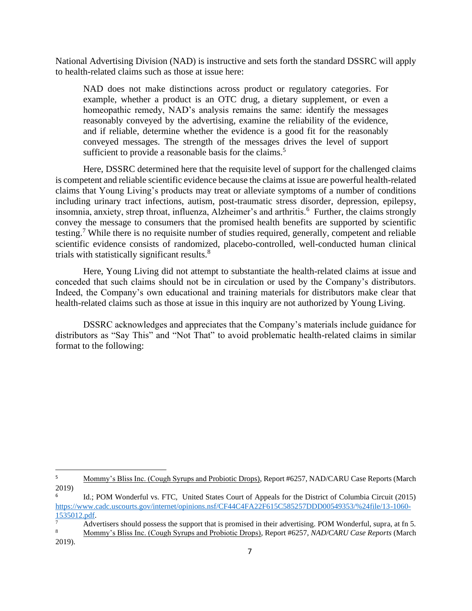National Advertising Division (NAD) is instructive and sets forth the standard DSSRC will apply to health-related claims such as those at issue here:

NAD does not make distinctions across product or regulatory categories. For example, whether a product is an OTC drug, a dietary supplement, or even a homeopathic remedy, NAD's analysis remains the same: identify the messages reasonably conveyed by the advertising, examine the reliability of the evidence, and if reliable, determine whether the evidence is a good fit for the reasonably conveyed messages. The strength of the messages drives the level of support sufficient to provide a reasonable basis for the claims.<sup>5</sup>

Here, DSSRC determined here that the requisite level of support for the challenged claims is competent and reliable scientific evidence because the claims at issue are powerful health-related claims that Young Living's products may treat or alleviate symptoms of a number of conditions including urinary tract infections, autism, post-traumatic stress disorder, depression, epilepsy, insomnia, anxiety, strep throat, influenza, Alzheimer's and arthritis.<sup>6</sup> Further, the claims strongly convey the message to consumers that the promised health benefits are supported by scientific testing.<sup>7</sup> While there is no requisite number of studies required, generally, competent and reliable scientific evidence consists of randomized, placebo-controlled, well-conducted human clinical trials with statistically significant results.<sup>8</sup>

Here, Young Living did not attempt to substantiate the health-related claims at issue and conceded that such claims should not be in circulation or used by the Company's distributors. Indeed, the Company's own educational and training materials for distributors make clear that health-related claims such as those at issue in this inquiry are not authorized by Young Living.

DSSRC acknowledges and appreciates that the Company's materials include guidance for distributors as "Say This" and "Not That" to avoid problematic health-related claims in similar format to the following:

<sup>&</sup>lt;sup>5</sup> Mommy's Bliss Inc. (Cough Syrups and Probiotic Drops), Report #6257, NAD/CARU Case Reports (March 2019)

<sup>6</sup> Id.; POM Wonderful vs. FTC, United States Court of Appeals for the District of Columbia Circuit (2015) [https://www.cadc.uscourts.gov/internet/opinions.nsf/CF44C4FA22F615C585257DDD00549353/%24file/13-1060-](https://www.cadc.uscourts.gov/internet/opinions.nsf/CF44C4FA22F615C585257DDD00549353/%24file/13-1060-1535012.pdf) [1535012.pdf.](https://www.cadc.uscourts.gov/internet/opinions.nsf/CF44C4FA22F615C585257DDD00549353/%24file/13-1060-1535012.pdf)

<sup>7</sup> Advertisers should possess the support that is promised in their advertising. POM Wonderful, supra, at fn 5.

<sup>8</sup> Mommy's Bliss Inc. (Cough Syrups and Probiotic Drops), Report #6257, *NAD/CARU Case Reports* (March 2019).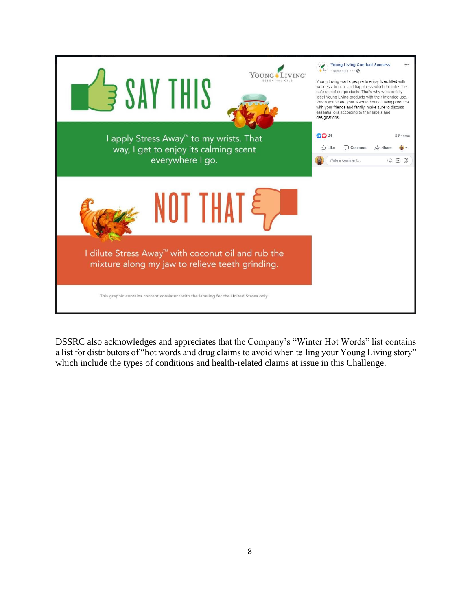

DSSRC also acknowledges and appreciates that the Company's "Winter Hot Words" list contains a list for distributors of "hot words and drug claims to avoid when telling your Young Living story" which include the types of conditions and health-related claims at issue in this Challenge.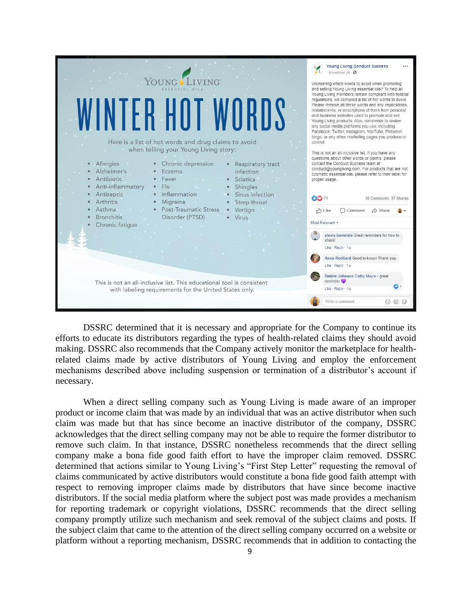

DSSRC determined that it is necessary and appropriate for the Company to continue its efforts to educate its distributors regarding the types of health-related claims they should avoid making. DSSRC also recommends that the Company actively monitor the marketplace for healthrelated claims made by active distributors of Young Living and employ the enforcement mechanisms described above including suspension or termination of a distributor's account if necessary.

When a direct selling company such as Young Living is made aware of an improper product or income claim that was made by an individual that was an active distributor when such claim was made but that has since become an inactive distributor of the company, DSSRC acknowledges that the direct selling company may not be able to require the former distributor to remove such claim. In that instance, DSSRC nonetheless recommends that the direct selling company make a bona fide good faith effort to have the improper claim removed. DSSRC determined that actions similar to Young Living's "First Step Letter" requesting the removal of claims communicated by active distributors would constitute a bona fide good faith attempt with respect to removing improper claims made by distributors that have since become inactive distributors. If the social media platform where the subject post was made provides a mechanism for reporting trademark or copyright violations, DSSRC recommends that the direct selling company promptly utilize such mechanism and seek removal of the subject claims and posts. If the subject claim that came to the attention of the direct selling company occurred on a website or platform without a reporting mechanism, DSSRC recommends that in addition to contacting the